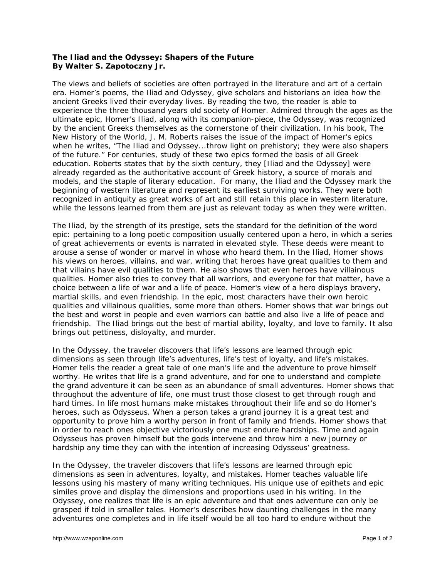## **The Iliad and the Odyssey: Shapers of the Future By Walter S. Zapotoczny Jr.**

The views and beliefs of societies are often portrayed in the literature and art of a certain era. Homer's poems, the *Iliad* and *Odyssey*, give scholars and historians an idea how the ancient Greeks lived their everyday lives. By reading the two, the reader is able to experience the three thousand years old society of Homer. Admired through the ages as the ultimate epic, Homer's *Iliad*, along with its companion-piece, the *Odyssey*, was recognized by the ancient Greeks themselves as the cornerstone of their civilization. In his book, *The New History of the World*, J. M. Roberts raises the issue of the impact of Homer's epics when he writes, "The *Iliad* and *Odyssey*...throw light on prehistory; they were also shapers of the future." For centuries, study of these two epics formed the basis of all Greek education. Roberts states that by the sixth century, they [*Iliad* and the *Odyssey*] were already regarded as the authoritative account of Greek history, a source of morals and models, and the staple of literary education. For many, the *Iliad* and the *Odyssey* mark the beginning of western literature and represent its earliest surviving works. They were both recognized in antiquity as great works of art and still retain this place in western literature, while the lessons learned from them are just as relevant today as when they were written.

The *Iliad*, by the strength of its prestige, sets the standard for the definition of the word *epic*: pertaining to a long poetic composition usually centered upon a hero, in which a series of great achievements or events is narrated in elevated style. These deeds were meant to arouse a sense of wonder or marvel in whose who heard them. In the *Iliad*, Homer shows his views on heroes, villains, and war, writing that heroes have great qualities to them and that villains have evil qualities to them. He also shows that even heroes have villainous qualities. Homer also tries to convey that all warriors, and everyone for that matter, have a choice between a life of war and a life of peace. Homer's view of a hero displays bravery, martial skills, and even friendship. In the epic, most characters have their own heroic qualities and villainous qualities, some more than others. Homer shows that war brings out the best and worst in people and even warriors can battle and also live a life of peace and friendship. The *Iliad* brings out the best of martial ability, loyalty, and love to family. It also brings out pettiness, disloyalty, and murder.

In the *Odyssey*, the traveler discovers that life's lessons are learned through epic dimensions as seen through life's adventures, life's test of loyalty, and life's mistakes. Homer tells the reader a great tale of one man's life and the adventure to prove himself worthy. He writes that life is a grand adventure, and for one to understand and complete the grand adventure it can be seen as an abundance of small adventures. Homer shows that throughout the adventure of life, one must trust those closest to get through rough and hard times. In life most humans make mistakes throughout their life and so do Homer's heroes, such as Odysseus. When a person takes a grand journey it is a great test and opportunity to prove him a worthy person in front of family and friends. Homer shows that in order to reach ones objective victoriously one must endure hardships. Time and again Odysseus has proven himself but the gods intervene and throw him a new journey or hardship any time they can with the intention of increasing Odysseus' greatness.

In the *Odyssey*, the traveler discovers that life's lessons are learned through epic dimensions as seen in adventures, loyalty, and mistakes. Homer teaches valuable life lessons using his mastery of many writing techniques. His unique use of epithets and epic similes prove and display the dimensions and proportions used in his writing. In the *Odyssey*, one realizes that life is an epic adventure and that ones adventure can only be grasped if told in smaller tales. Homer's describes how daunting challenges in the many adventures one completes and in life itself would be all too hard to endure without the